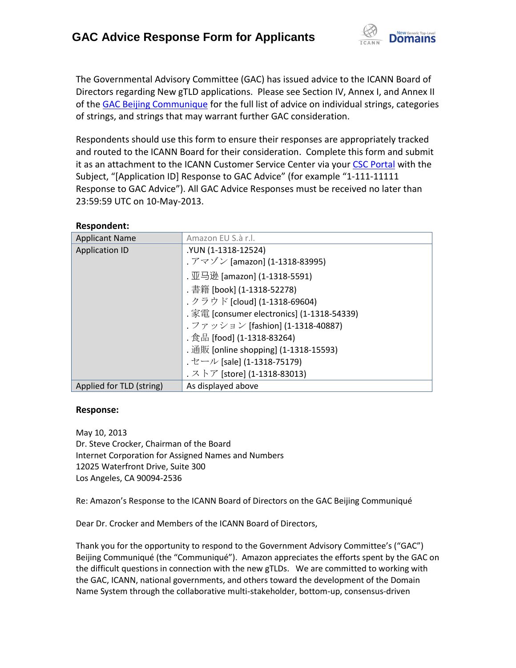

The Governmental Advisory Committee (GAC) has issued advice to the ICANN Board of Directors regarding New gTLD applications. Please see Section IV, Annex I, and Annex II of th[e GAC Beijing Communique](http://www.icann.org/en/news/correspondence/gac-to-board-18apr13-en.pdf) for the full list of advice on individual strings, categories of strings, and strings that may warrant further GAC consideration.

Respondents should use this form to ensure their responses are appropriately tracked and routed to the ICANN Board for their consideration. Complete this form and submit it as an attachment to the ICANN Customer Service Center via your CSC [Portal](https://myicann.secure.force.com/) with the Subject, "[Application ID] Response to GAC Advice" (for example "1-111-11111 Response to GAC Advice"). All GAC Advice Responses must be received no later than 23:59:59 UTC on 10-May-2013.

| <b>ILCONOTINGIIL.</b>    |                                            |
|--------------------------|--------------------------------------------|
| <b>Applicant Name</b>    | Amazon EU S.à r.l.                         |
| <b>Application ID</b>    | .YUN (1-1318-12524)                        |
|                          | . アマゾン [amazon] (1-1318-83995)             |
|                          | . 亚马逊 [amazon] (1-1318-5591)               |
|                          | . 書籍 [book] (1-1318-52278)                 |
|                          | . クラウド [cloud] (1-1318-69604)              |
|                          | . 家電 [consumer electronics] (1-1318-54339) |
|                          | . ファッション [fashion] (1-1318-40887)          |
|                          | . 食品 [food] (1-1318-83264)                 |
|                          | . 通販 [online shopping] (1-1318-15593)      |
|                          | . セール [sale] (1-1318-75179)                |
|                          | . ストア [store] (1-1318-83013)               |
| Applied for TLD (string) | As displayed above                         |

#### **Respondent:**

#### **Response:**

May 10, 2013 Dr. Steve Crocker, Chairman of the Board Internet Corporation for Assigned Names and Numbers 12025 Waterfront Drive, Suite 300 Los Angeles, CA 90094-2536

Re: Amazon's Response to the ICANN Board of Directors on the GAC Beijing Communiqué

Dear Dr. Crocker and Members of the ICANN Board of Directors,

Thank you for the opportunity to respond to the Government Advisory Committee's ("GAC") Beijing Communiqué (the "Communiqué"). Amazon appreciates the efforts spent by the GAC on the difficult questions in connection with the new gTLDs. We are committed to working with the GAC, ICANN, national governments, and others toward the development of the Domain Name System through the collaborative multi-stakeholder, bottom-up, consensus-driven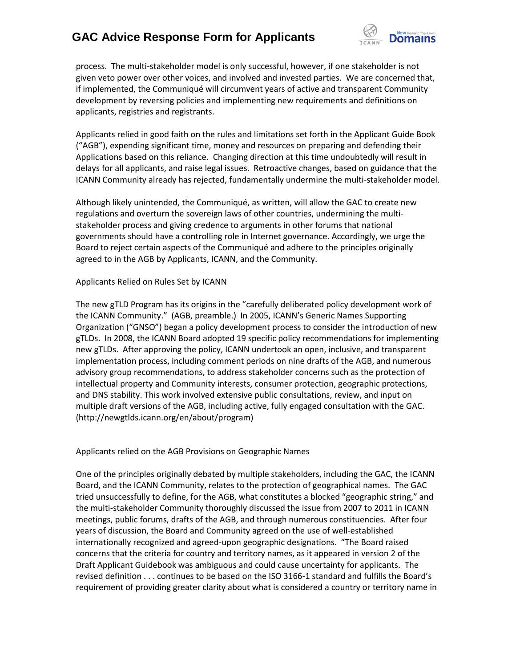

process. The multi-stakeholder model is only successful, however, if one stakeholder is not given veto power over other voices, and involved and invested parties. We are concerned that, if implemented, the Communiqué will circumvent years of active and transparent Community development by reversing policies and implementing new requirements and definitions on applicants, registries and registrants.

Applicants relied in good faith on the rules and limitations set forth in the Applicant Guide Book ("AGB"), expending significant time, money and resources on preparing and defending their Applications based on this reliance. Changing direction at this time undoubtedly will result in delays for all applicants, and raise legal issues. Retroactive changes, based on guidance that the ICANN Community already has rejected, fundamentally undermine the multi-stakeholder model.

Although likely unintended, the Communiqué, as written, will allow the GAC to create new regulations and overturn the sovereign laws of other countries, undermining the multistakeholder process and giving credence to arguments in other forums that national governments should have a controlling role in Internet governance. Accordingly, we urge the Board to reject certain aspects of the Communiqué and adhere to the principles originally agreed to in the AGB by Applicants, ICANN, and the Community.

#### Applicants Relied on Rules Set by ICANN

The new gTLD Program has its origins in the "carefully deliberated policy development work of the ICANN Community." (AGB, preamble.) In 2005, ICANN's Generic Names Supporting Organization ("GNSO") began a policy development process to consider the introduction of new gTLDs. In 2008, the ICANN Board adopted 19 specific policy recommendations for implementing new gTLDs. After approving the policy, ICANN undertook an open, inclusive, and transparent implementation process, including comment periods on nine drafts of the AGB, and numerous advisory group recommendations, to address stakeholder concerns such as the protection of intellectual property and Community interests, consumer protection, geographic protections, and DNS stability. This work involved extensive public consultations, review, and input on multiple draft versions of the AGB, including active, fully engaged consultation with the GAC. (http://newgtlds.icann.org/en/about/program)

#### Applicants relied on the AGB Provisions on Geographic Names

One of the principles originally debated by multiple stakeholders, including the GAC, the ICANN Board, and the ICANN Community, relates to the protection of geographical names. The GAC tried unsuccessfully to define, for the AGB, what constitutes a blocked "geographic string," and the multi-stakeholder Community thoroughly discussed the issue from 2007 to 2011 in ICANN meetings, public forums, drafts of the AGB, and through numerous constituencies. After four years of discussion, the Board and Community agreed on the use of well-established internationally recognized and agreed-upon geographic designations. "The Board raised concerns that the criteria for country and territory names, as it appeared in version 2 of the Draft Applicant Guidebook was ambiguous and could cause uncertainty for applicants. The revised definition . . . continues to be based on the ISO 3166-1 standard and fulfills the Board's requirement of providing greater clarity about what is considered a country or territory name in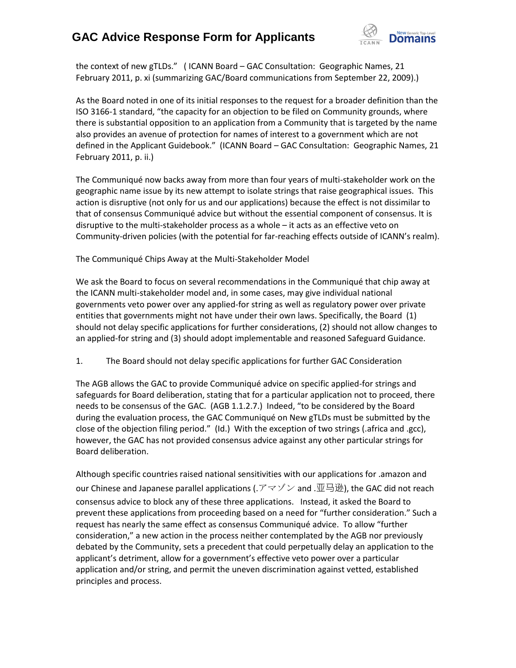

the context of new gTLDs." ( ICANN Board – GAC Consultation: Geographic Names, 21 February 2011, p. xi (summarizing GAC/Board communications from September 22, 2009).)

As the Board noted in one of its initial responses to the request for a broader definition than the ISO 3166-1 standard, "the capacity for an objection to be filed on Community grounds, where there is substantial opposition to an application from a Community that is targeted by the name also provides an avenue of protection for names of interest to a government which are not defined in the Applicant Guidebook." (ICANN Board – GAC Consultation: Geographic Names, 21 February 2011, p. ii.)

The Communiqué now backs away from more than four years of multi-stakeholder work on the geographic name issue by its new attempt to isolate strings that raise geographical issues. This action is disruptive (not only for us and our applications) because the effect is not dissimilar to that of consensus Communiqué advice but without the essential component of consensus. It is disruptive to the multi-stakeholder process as a whole – it acts as an effective veto on Community-driven policies (with the potential for far-reaching effects outside of ICANN's realm).

The Communiqué Chips Away at the Multi-Stakeholder Model

We ask the Board to focus on several recommendations in the Communiqué that chip away at the ICANN multi-stakeholder model and, in some cases, may give individual national governments veto power over any applied-for string as well as regulatory power over private entities that governments might not have under their own laws. Specifically, the Board (1) should not delay specific applications for further considerations, (2) should not allow changes to an applied-for string and (3) should adopt implementable and reasoned Safeguard Guidance.

1. The Board should not delay specific applications for further GAC Consideration

The AGB allows the GAC to provide Communiqué advice on specific applied-for strings and safeguards for Board deliberation, stating that for a particular application not to proceed, there needs to be consensus of the GAC. (AGB 1.1.2.7.) Indeed, "to be considered by the Board during the evaluation process, the GAC Communiqué on New gTLDs must be submitted by the close of the objection filing period." (Id.) With the exception of two strings (.africa and .gcc), however, the GAC has not provided consensus advice against any other particular strings for Board deliberation.

Although specific countries raised national sensitivities with our applications for .amazon and our Chinese and Japanese parallel applications (.アマゾン and .亚马逊), the GAC did not reach consensus advice to block any of these three applications. Instead, it asked the Board to prevent these applications from proceeding based on a need for "further consideration." Such a request has nearly the same effect as consensus Communiqué advice. To allow "further consideration," a new action in the process neither contemplated by the AGB nor previously debated by the Community, sets a precedent that could perpetually delay an application to the applicant's detriment, allow for a government's effective veto power over a particular application and/or string, and permit the uneven discrimination against vetted, established principles and process.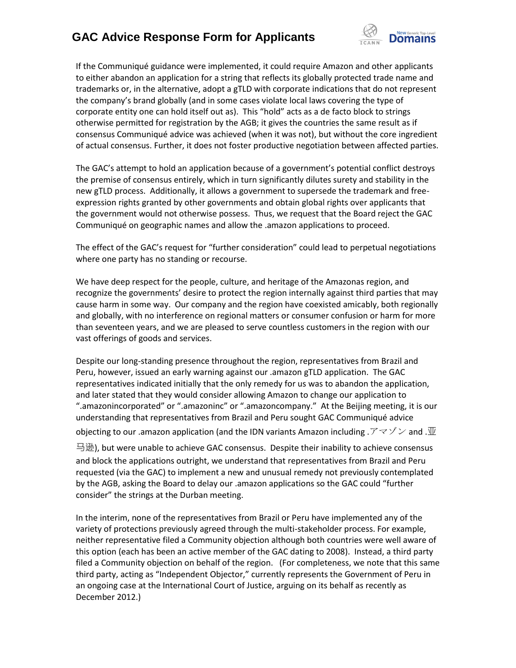

If the Communiqué guidance were implemented, it could require Amazon and other applicants to either abandon an application for a string that reflects its globally protected trade name and trademarks or, in the alternative, adopt a gTLD with corporate indications that do not represent the company's brand globally (and in some cases violate local laws covering the type of corporate entity one can hold itself out as). This "hold" acts as a de facto block to strings otherwise permitted for registration by the AGB; it gives the countries the same result as if consensus Communiqué advice was achieved (when it was not), but without the core ingredient of actual consensus. Further, it does not foster productive negotiation between affected parties.

The GAC's attempt to hold an application because of a government's potential conflict destroys the premise of consensus entirely, which in turn significantly dilutes surety and stability in the new gTLD process. Additionally, it allows a government to supersede the trademark and freeexpression rights granted by other governments and obtain global rights over applicants that the government would not otherwise possess. Thus, we request that the Board reject the GAC Communiqué on geographic names and allow the .amazon applications to proceed.

The effect of the GAC's request for "further consideration" could lead to perpetual negotiations where one party has no standing or recourse.

We have deep respect for the people, culture, and heritage of the Amazonas region, and recognize the governments' desire to protect the region internally against third parties that may cause harm in some way. Our company and the region have coexisted amicably, both regionally and globally, with no interference on regional matters or consumer confusion or harm for more than seventeen years, and we are pleased to serve countless customers in the region with our vast offerings of goods and services.

Despite our long-standing presence throughout the region, representatives from Brazil and Peru, however, issued an early warning against our .amazon gTLD application. The GAC representatives indicated initially that the only remedy for us was to abandon the application, and later stated that they would consider allowing Amazon to change our application to ".amazonincorporated" or ".amazoninc" or ".amazoncompany." At the Beijing meeting, it is our understanding that representatives from Brazil and Peru sought GAC Communiqué advice

objecting to our .amazon application (and the IDN variants Amazon including .アマゾン and . $\Psi$ 

马逊), but were unable to achieve GAC consensus. Despite their inability to achieve consensus and block the applications outright, we understand that representatives from Brazil and Peru requested (via the GAC) to implement a new and unusual remedy not previously contemplated by the AGB, asking the Board to delay our .amazon applications so the GAC could "further consider" the strings at the Durban meeting.

In the interim, none of the representatives from Brazil or Peru have implemented any of the variety of protections previously agreed through the multi-stakeholder process. For example, neither representative filed a Community objection although both countries were well aware of this option (each has been an active member of the GAC dating to 2008). Instead, a third party filed a Community objection on behalf of the region. (For completeness, we note that this same third party, acting as "Independent Objector," currently represents the Government of Peru in an ongoing case at the International Court of Justice, arguing on its behalf as recently as December 2012.)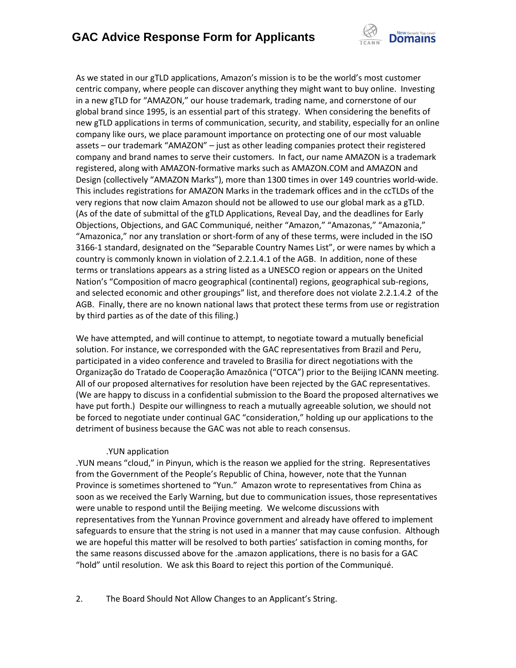

As we stated in our gTLD applications, Amazon's mission is to be the world's most customer centric company, where people can discover anything they might want to buy online. Investing in a new gTLD for "AMAZON," our house trademark, trading name, and cornerstone of our global brand since 1995, is an essential part of this strategy. When considering the benefits of new gTLD applications in terms of communication, security, and stability, especially for an online company like ours, we place paramount importance on protecting one of our most valuable assets – our trademark "AMAZON" – just as other leading companies protect their registered company and brand names to serve their customers. In fact, our name AMAZON is a trademark registered, along with AMAZON-formative marks such as AMAZON.COM and AMAZON and Design (collectively "AMAZON Marks"), more than 1300 times in over 149 countries world-wide. This includes registrations for AMAZON Marks in the trademark offices and in the ccTLDs of the very regions that now claim Amazon should not be allowed to use our global mark as a gTLD. (As of the date of submittal of the gTLD Applications, Reveal Day, and the deadlines for Early Objections, Objections, and GAC Communiqué, neither "Amazon," "Amazonas," "Amazonia," "Amazonica," nor any translation or short-form of any of these terms, were included in the ISO 3166-1 standard, designated on the "Separable Country Names List", or were names by which a country is commonly known in violation of 2.2.1.4.1 of the AGB. In addition, none of these terms or translations appears as a string listed as a UNESCO region or appears on the United Nation's "Composition of macro geographical (continental) regions, geographical sub-regions, and selected economic and other groupings" list, and therefore does not violate 2.2.1.4.2 of the AGB. Finally, there are no known national laws that protect these terms from use or registration by third parties as of the date of this filing.)

We have attempted, and will continue to attempt, to negotiate toward a mutually beneficial solution. For instance, we corresponded with the GAC representatives from Brazil and Peru, participated in a video conference and traveled to Brasilia for direct negotiations with the Organização do Tratado de Cooperação Amazônica ("OTCA") prior to the Beijing ICANN meeting. All of our proposed alternatives for resolution have been rejected by the GAC representatives. (We are happy to discuss in a confidential submission to the Board the proposed alternatives we have put forth.) Despite our willingness to reach a mutually agreeable solution, we should not be forced to negotiate under continual GAC "consideration," holding up our applications to the detriment of business because the GAC was not able to reach consensus.

#### .YUN application

.YUN means "cloud," in Pinyun, which is the reason we applied for the string. Representatives from the Government of the People's Republic of China, however, note that the Yunnan Province is sometimes shortened to "Yun." Amazon wrote to representatives from China as soon as we received the Early Warning, but due to communication issues, those representatives were unable to respond until the Beijing meeting. We welcome discussions with representatives from the Yunnan Province government and already have offered to implement safeguards to ensure that the string is not used in a manner that may cause confusion. Although we are hopeful this matter will be resolved to both parties' satisfaction in coming months, for the same reasons discussed above for the .amazon applications, there is no basis for a GAC "hold" until resolution. We ask this Board to reject this portion of the Communiqué.

2. The Board Should Not Allow Changes to an Applicant's String.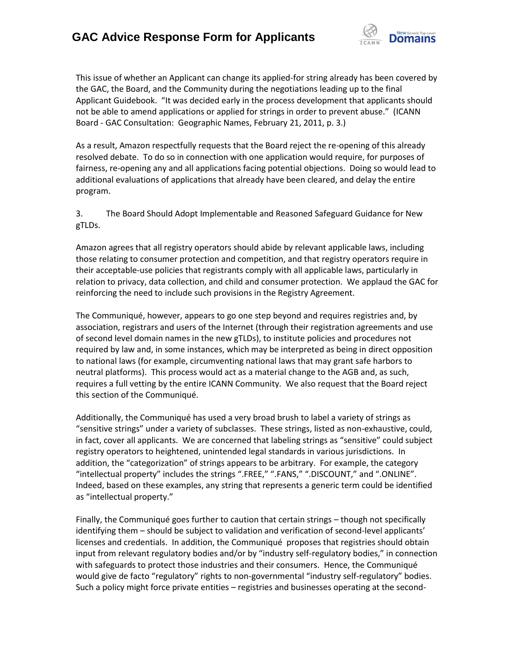

This issue of whether an Applicant can change its applied-for string already has been covered by the GAC, the Board, and the Community during the negotiations leading up to the final Applicant Guidebook. "It was decided early in the process development that applicants should not be able to amend applications or applied for strings in order to prevent abuse." (ICANN Board - GAC Consultation: Geographic Names, February 21, 2011, p. 3.)

As a result, Amazon respectfully requests that the Board reject the re-opening of this already resolved debate. To do so in connection with one application would require, for purposes of fairness, re-opening any and all applications facing potential objections. Doing so would lead to additional evaluations of applications that already have been cleared, and delay the entire program.

3. The Board Should Adopt Implementable and Reasoned Safeguard Guidance for New gTLDs.

Amazon agrees that all registry operators should abide by relevant applicable laws, including those relating to consumer protection and competition, and that registry operators require in their acceptable-use policies that registrants comply with all applicable laws, particularly in relation to privacy, data collection, and child and consumer protection. We applaud the GAC for reinforcing the need to include such provisions in the Registry Agreement.

The Communiqué, however, appears to go one step beyond and requires registries and, by association, registrars and users of the Internet (through their registration agreements and use of second level domain names in the new gTLDs), to institute policies and procedures not required by law and, in some instances, which may be interpreted as being in direct opposition to national laws (for example, circumventing national laws that may grant safe harbors to neutral platforms). This process would act as a material change to the AGB and, as such, requires a full vetting by the entire ICANN Community. We also request that the Board reject this section of the Communiqué.

Additionally, the Communiqué has used a very broad brush to label a variety of strings as "sensitive strings" under a variety of subclasses. These strings, listed as non-exhaustive, could, in fact, cover all applicants. We are concerned that labeling strings as "sensitive" could subject registry operators to heightened, unintended legal standards in various jurisdictions. In addition, the "categorization" of strings appears to be arbitrary. For example, the category "intellectual property" includes the strings ".FREE," ".FANS," ".DISCOUNT," and ".ONLINE". Indeed, based on these examples, any string that represents a generic term could be identified as "intellectual property."

Finally, the Communiqué goes further to caution that certain strings – though not specifically identifying them – should be subject to validation and verification of second-level applicants' licenses and credentials. In addition, the Communiqué proposes that registries should obtain input from relevant regulatory bodies and/or by "industry self-regulatory bodies," in connection with safeguards to protect those industries and their consumers. Hence, the Communiqué would give de facto "regulatory" rights to non-governmental "industry self-regulatory" bodies. Such a policy might force private entities – registries and businesses operating at the second-